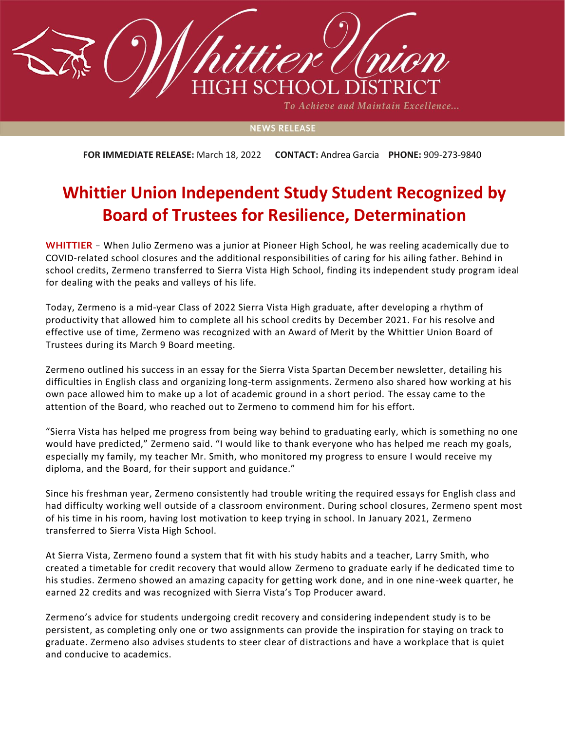

To Achieve and Maintain Excellence...

## **NEWS RELEASE**

**FOR IMMEDIATE RELEASE:** March 18, 2022 **CONTACT:** Andrea Garcia **PHONE:** 909-273-9840

## **Whittier Union Independent Study Student Recognized by Board of Trustees for Resilience, Determination**

**WHITTIER** – When Julio Zermeno was a junior at Pioneer High School, he was reeling academically due to COVID-related school closures and the additional responsibilities of caring for his ailing father. Behind in school credits, Zermeno transferred to Sierra Vista High School, finding its independent study program ideal for dealing with the peaks and valleys of his life.

Today, Zermeno is a mid-year Class of 2022 Sierra Vista High graduate, after developing a rhythm of productivity that allowed him to complete all his school credits by December 2021. For his resolve and effective use of time, Zermeno was recognized with an Award of Merit by the Whittier Union Board of Trustees during its March 9 Board meeting.

Zermeno outlined his success in an essay for the Sierra Vista Spartan December newsletter, detailing his difficulties in English class and organizing long-term assignments. Zermeno also shared how working at his own pace allowed him to make up a lot of academic ground in a short period. The essay came to the attention of the Board, who reached out to Zermeno to commend him for his effort.

"Sierra Vista has helped me progress from being way behind to graduating early, which is something no one would have predicted," Zermeno said. "I would like to thank everyone who has helped me reach my goals, especially my family, my teacher Mr. Smith, who monitored my progress to ensure I would receive my diploma, and the Board, for their support and guidance."

Since his freshman year, Zermeno consistently had trouble writing the required essays for English class and had difficulty working well outside of a classroom environment. During school closures, Zermeno spent most of his time in his room, having lost motivation to keep trying in school. In January 2021, Zermeno transferred to Sierra Vista High School.

At Sierra Vista, Zermeno found a system that fit with his study habits and a teacher, Larry Smith, who created a timetable for credit recovery that would allow Zermeno to graduate early if he dedicated time to his studies. Zermeno showed an amazing capacity for getting work done, and in one nine-week quarter, he earned 22 credits and was recognized with Sierra Vista's Top Producer award.

Zermeno's advice for students undergoing credit recovery and considering independent study is to be persistent, as completing only one or two assignments can provide the inspiration for staying on track to graduate. Zermeno also advises students to steer clear of distractions and have a workplace that is quiet and conducive to academics.